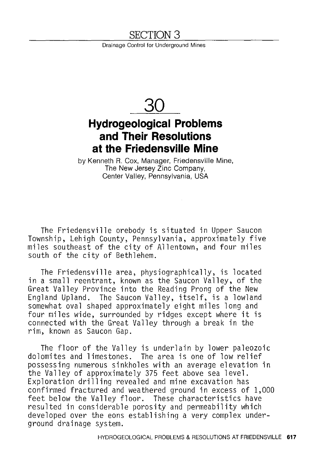## SECTION 3

Drainage Control for Underground Mines



## **Hydrogeological Problems and Their Resolutions at the Friedensville Mine**

by Kenneth R. Cox, Manager, Friedensville Mine, The New Jersey Zinc Company, Center Valley, Pennsylvania, USA

The Friedensville orebody is situated in Upper Saucon Township, Lehigh County, Pennsylvania, approximately five miles southeast of the city of Allentown, and four miles south of the city of Bethlehem.

The Friedensville area, physiographically, is located in a small reentrant, known as the Saucon Valley, of the Great Valley Province into the Reading Prong of the New England Upland. The Saucon Valley, itself, is a lowland somewhat oval shaped approximately eight miles long and four miles wide, surrounded by ridges except where it is connected with the Great Valley through a break in the rim, known as Saucon Gap.

The floor of the Valley is underlain by lower paleozoic dolomites and limestones. The area is one of low relief possessing numerous sinkholes with an average elevation in the Valley of approximately 375 feet above sea level. Exploration drilling revealed and mine excavation has confirmed fractured and weathered ground in excess of 1,000 feet below the Valley floor. These characteristics have resulted in considerable porosity and permeability which developed over the eons establishing a very complex underground drainage system.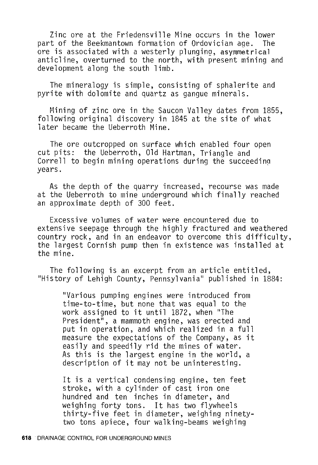Zinc ore at the Friedensville Mine occurs in the lower part of the Beekmantown formation of Ordovician aqe. The ore is associated with a westerly plunging, asymmetrical anticline, overturned to the north, with present mining and development along the south limb.

The mineralogy is simple, consisting of sphalerite and pyrite with dolomite and quartz as gangue minerals.

Mining of zinc ore in the Saucon Valley dates from 1855, following original discovery in 1845 at the site of what later became the Ueberroth Mine.

The ore outcropped on surface which enabled four open cut pits: the Ueberroth, Old Hartman, Triangle and Correll to begin mining operations during the succeeding years.

As the depth of the quarry increased, recourse was made at the Ueberroth to mine underground which finally reached an approximate depth of 300 feet.

Excessive volumes of water were encountered due to extensive seepage through the highly fractured and weathered country rock, and in an endeavor to overcome this difficulty, the largest Cornish pump then in existence was installed at the mine.

The following is an excerpt from an article entitled, "History of Lehigh County, Pennsylvania" published in 1884:

"Various pumping engines were introduced from time-to-time, but none that was equal to the work assigned to it until 1872, when "The President", a mammoth engine, was erected and put in operation, and which realized in a full measure the expectations of the Company, as it easily and speedily rid the mines of water. As this is the largest engine in the world, a description of it may not be uninteresting.

It is a vertical condensing engine, ten feet stroke, with a cylinder of cast iron one hundred and ten inches in diameter, and weighing forty tons. It has two flywheels thirty-five feet in diameter, weighing ninetytwo tons apiece, four walking-beams weighing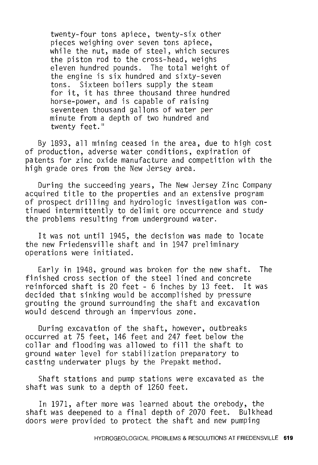twenty-four tons apiece, twenty-six other pieces weighing over seven tons apiece, while the nut, made of steel, which secures the piston rod to the cross-head, weighs eleven hundred pounds. The total weight of the engine is six hundred and sixty-seven tons. Sixteen boilers supply the steam for it, it has three thousand three hundred horse-power, and is capable of raising seventeen thousand gallons of water per minute from a depth of two hundred and twenty feet."

By 1893, all mining ceased in the area, due to high cost of production, adverse water conditions, expiration of patents for zinc oxide manufacture and competition with the high grade ores from the New Jersey area.

During the succeeding years, The New Jersey Zinc Company acquired title to the properties and an extensive program of prospect drilling and hydrologic investigation was continued intermittently to delimit ore occurrence and study the problems resulting from underground water.

It was not until 1945, the decision was made to locate the new Friedensville shaft and in 1947 preliminary operations were initiated.

Early in 1948, ground was broken for the new shaft. The finished cross section of the steel lined and concrete reinforced shaft is 20 feet - 6 inches by 13 feet. It was decided that sinking would be accomplished by pressure grouting the ground surrounding the shaft and excavation would descend through an impervious zone.

During excavation of the shaft, however, outbreaks occurred at 75 feet, 146 feet and 247 feet below the collar and flooding was allowed to fill the shaft to ground water level for stabilization preparatory to casting underwater plugs by the Prepakt method.

Shaft stations and pump stations were excavated as the shaft was sunk to a depth of 1260 feet.

In 1971, after more was learned about the orebody, the shaft was deepened to a final depth of 2070 feet. Bulkhead doors were provided to protect the shaft and new pumping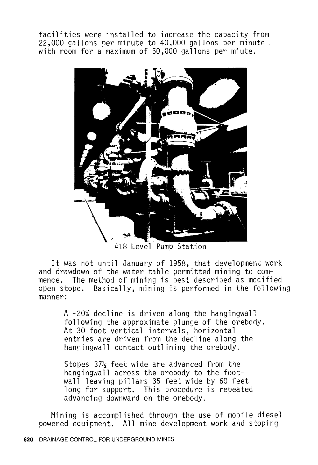facilities were installed to increase the capacity from 22,000 gallons per minute to 40,000 gallons per minute with room for a maximum of 50,000 gallons per miute.



418 Level Pump Station

It was not until January of 1958, that development work and drawdown of the water table permitted mining to commence. The method of mining is best described as modified open stope. Basically, mining is performed in the following manner:

> A -20% decline is driven along the hangingwall following the approximate plunge of the orebody. At 30 foot vertical intervals, horizontal entries are driven from the decline along the hangingwall contact outlining the orebody.

Stopes  $37\frac{1}{2}$  feet wide are advanced from the hangingwall across the orebody to the footwall leaving pillars 35 feet wide by 60 feet long for support. This procedure is repeated advancing downward on the orebody.

Mining is accomplished through the use of mobile diesel powered equipment. All mine development work and stoping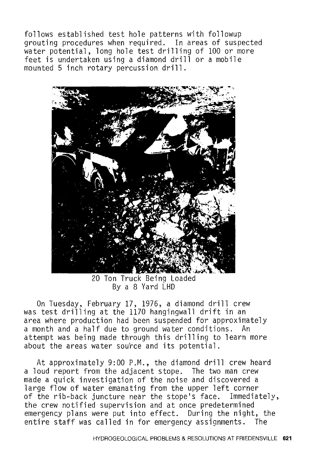follows established test hole patterns with followup grouting procedures when required. In areas of suspected water potential, long hole test drilling of 100 or more feet is undertaken using a diamond drill or a mobile mounted 5 inch rotary percussion drill.



20 Ton Truck Being Loaded By a 8 Yard LHD

On Tuesday, February 17, 1976, a diamond drill crew was test drilling at the 1170 hangingwall drift in an area where production had been suspended for approximately a month and a half due to ground water conditions. An attempt was being made through this drilling to learn more about the areas water source and its potential.

At approximately 9:00 P.M., the diamond drill crew heard a loud report from the adjacent stope. The two man crew made a quick investigation of the noise and discovered a large flow of water emanating from the upper left corner of the rib-back juncture near the stope's face. Immediately, the crew notified supervision and at once predetermined emergency plans were put into effect. During the night, the entire staff was called in for emergency assignments. The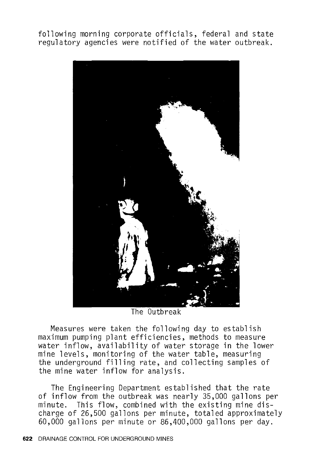following morning corporate officials, federal and state regulatory agencies were notified of the water outbreak.



The Outbreak

Measures were taken the following day to establish maximum pumping plant efficiencies, methods to measure water inflow, availability of water storage in the lower mine levels, monitoring of the water table, measuring the underground filling rate, and collecting samples of the mine water inflow for analysis.

The Engineering Department established that the rate of inflow from the outbreak was nearly 35,000 gallons per minute. This flow, combined with the existing mine discharge of 26,500 gallons per minute, totaled approximately 60,000 gallons per minute or 86,400,000 gallons per day.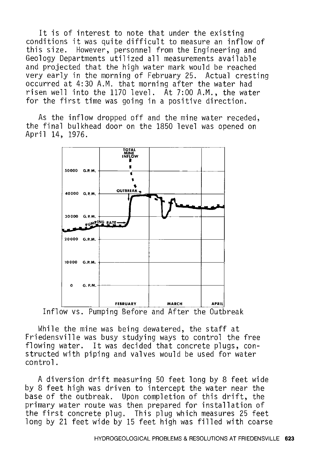It is of interest to note that under the existing conditions it was quite difficult to measure an inflow of this size. However, personnel from the Engineering and Geology Departments utilized all measurements available and projected that the high water mark would be reached very early in the morning of February 25. Actual cresting occurred at 4:30 A.M. that morning after the water had risen well into the 1170 level. At 7:00 A.M., the water for the first time was going in a positive direction.

As the inflow dropped off and the mine water receded, the final bulkhead door on the 1850 level was opened on April 14, 1976.



Inflow vs. Pumping Before and After the Outbreak

While the mine was being dewatered, the staff at Friedensville was busy studying ways to control the free flowing water. It was decided that concrete plugs, constructed with piping and valves would be used for water control.

A diversion drift measuring 50 feet long by 8 feet wide by 8 feet high was driven to intercept the water near the base of the outbreak. Upon completion of this drift, the primary water route was then prepared for installation of the first concrete plug. This plug which measures 25 feet long by 21 feet wide by 15 feet high was filled with coarse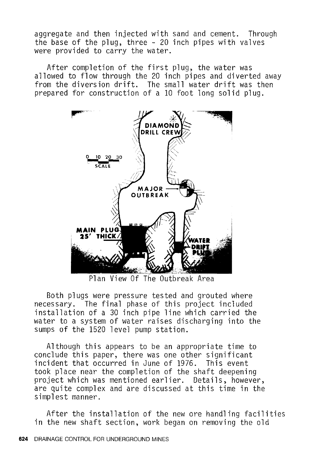aggregate and then injected with sand and cement. Through the base of the plug, three - 20 inch pipes with valves were provided to carry the water.

After completion of the first plug, the water was allowed to flow through the 20 inch pipes and diverted away from the diversion drift. The small water drift was then prepared for construction of a 10 foot long solid plug.



Plan View Of The Outbreak Area

Both plugs were pressure tested and grouted where necessary. The final phase of this project included installation of a 30 inch pipe line which carried the water to a system of water raises discharging into the sumps of the 1520 level pump station.

Although this appears to be an appropriate time to conclude this paper, there was one other significant incident that occurred in June of 1976. This event took place near the completion of the shaft deepening project which was mentioned earlier. Details, however, are quite complex and are discussed at this time in the simplest manner.

After the installation of the new ore handling facilities in the new shaft section, work began on removing the old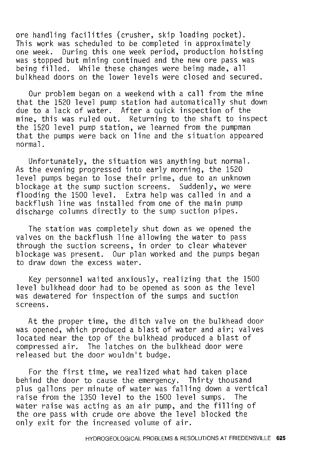ore handling facilities (crusher, skip loading pocket). This work was scheduled to be completed in approximately one week. During this one week period, production hoisting was stopped but mining continued and the new ore pass was being filled. While these changes were being made, all bulkhead doors on the lower levels were closed and secured.

Our problem began on a weekend with a call from the mine that the 1520 level pump station had automatically shut down due to a lack of water. After a quick inspection of the mine, this was ruled out. Returning to the shaft to inspect the 1520 level pump station, we learned from the pumpman that the pumps were back on line and the situation appeared normal.

Unfortunately, the situation was anything but normal. As the evening progressed into early morning, the 1520 level pumps began to lose their prime, due to an unknown blockage at the sump suction screens. Suddenly, we were flooding the 1500 level. Extra help was called in and a backflush line was installed from one of the main pump discharge columns directly to the sump suction pipes.

The station was completely shut down as we opened the valves on the backflush line allowing the water to pass through the suction screens, in order to clear whatever blockage was present. Our plan worked and the pumps began to draw down the excess water.

Key personnel waited anxiously, realizing that the 1500 level bulkhead door had to be opened as soon as the level was dewatered for inspection of the sumps and suction screens.

At the proper time, the ditch valve on the bulkhead door was opened, which produced a blast of water and air; valves located near the top of the bulkhead produced a blast of compressed air. The latches on the bulkhead door were released but the door wouldn't budge.

For the first time, we realized what had taken place behind the door to cause the emergency. Thirty thousand plus gallons per minute of water was falling down a vertical<br>raise from the 1350 level to the 1500 level sumps. The raise from the 1350 level to the 1500 level sumps. water raise was acting as an air pump, and the filling of the ore pass with crude ore above the level blocked the only exit for the increased volume of air.